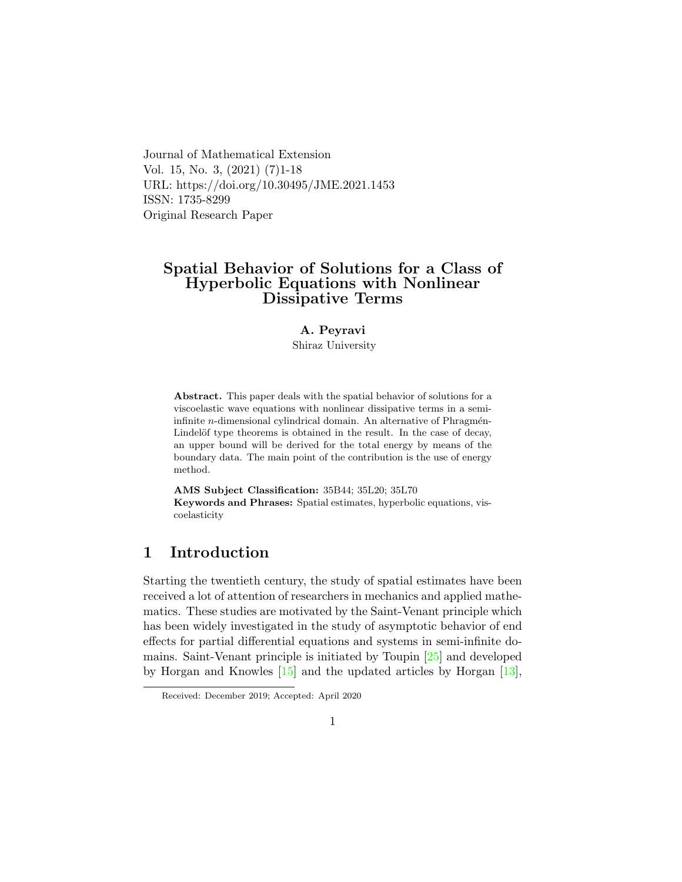Journal of Mathematical Extension Vol. 15, No. 3, (2021) (7)1-18 URL: https://doi.org/10.30495/JME.2021.1453 ISSN: 1735-8299 Original Research Paper

# Spatial Behavior of Solutions for a Class of Hyperbolic Equations with Nonlinear Dissipative Terms

## A. Peyravi

Shiraz University

Abstract. This paper deals with the spatial behavior of solutions for a viscoelastic wave equations with nonlinear dissipative terms in a semiinfinite  $n$ -dimensional cylindrical domain. An alternative of Phragmén-Lindelöf type theorems is obtained in the result. In the case of decay, an upper bound will be derived for the total energy by means of the boundary data. The main point of the contribution is the use of energy method.

AMS Subject Classification: 35B44; 35L20; 35L70 Keywords and Phrases: Spatial estimates, hyperbolic equations, viscoelasticity

## 1 Introduction

Starting the twentieth century, the study of spatial estimates have been received a lot of attention of researchers in mechanics and applied mathematics. These studies are motivated by the Saint-Venant principle which has been widely investigated in the study of asymptotic behavior of end effects for partial differential equations and systems in semi-infinite domains. Saint-Venant principle is initiated by Toupin [\[25\]](#page-17-0) and developed by Horgan and Knowles [\[15\]](#page-16-0) and the updated articles by Horgan [\[13\]](#page-16-1),

Received: December 2019; Accepted: April 2020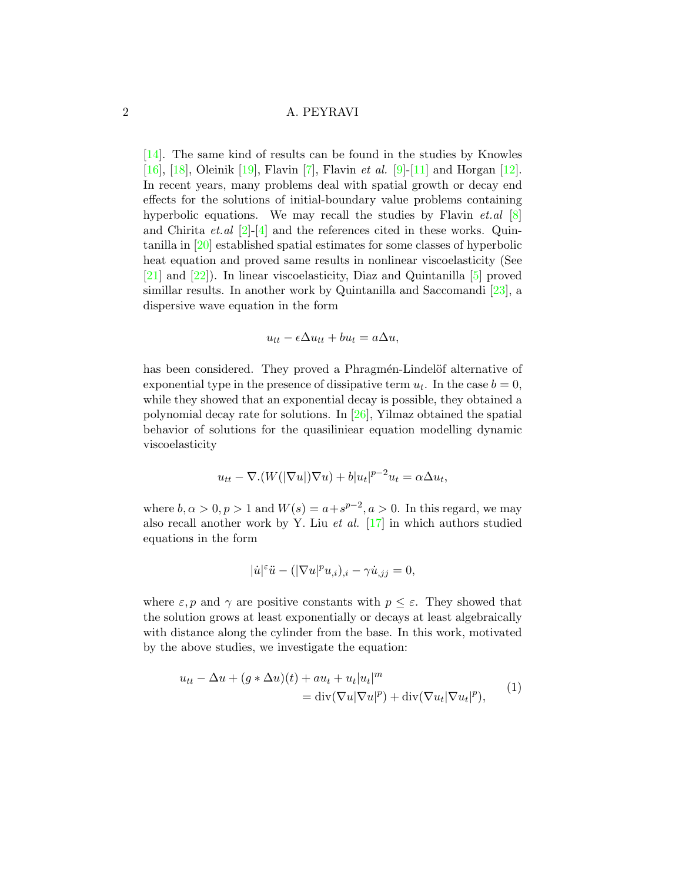[\[14\]](#page-16-2). The same kind of results can be found in the studies by Knowles [\[16\]](#page-16-3), [\[18\]](#page-16-4), Oleinik [\[19\]](#page-16-5), Flavin [\[7\]](#page-15-0), Flavin *et al.* [\[9\]](#page-15-1)-[\[11\]](#page-15-2) and Horgan [\[12\]](#page-15-3). In recent years, many problems deal with spatial growth or decay end effects for the solutions of initial-boundary value problems containing hyperbolic equations. We may recall the studies by Flavin  $et \, al \, [8]$  $et \, al \, [8]$ and Chirita *et.al*  $[2]$ -[\[4\]](#page-15-6) and the references cited in these works. Quintanilla in [\[20\]](#page-16-6) established spatial estimates for some classes of hyperbolic heat equation and proved same results in nonlinear viscoelasticity (See [\[21\]](#page-16-7) and [\[22\]](#page-16-8)). In linear viscoelasticity, Diaz and Quintanilla [\[5\]](#page-15-7) proved simillar results. In another work by Quintanilla and Saccomandi [\[23\]](#page-16-9), a dispersive wave equation in the form

$$
u_{tt} - \epsilon \Delta u_{tt} + bu_t = a\Delta u,
$$

has been considered. They proved a Phragmén-Lindelöf alternative of exponential type in the presence of dissipative term  $u_t$ . In the case  $b = 0$ , while they showed that an exponential decay is possible, they obtained a polynomial decay rate for solutions. In [\[26\]](#page-17-1), Yilmaz obtained the spatial behavior of solutions for the quasiliniear equation modelling dynamic viscoelasticity

$$
u_{tt} - \nabla \cdot (W(|\nabla u|)\nabla u) + b|u_t|^{p-2}u_t = \alpha \Delta u_t,
$$

where  $b, \alpha > 0, p > 1$  and  $W(s) = a + s^{p-2}, a > 0$ . In this regard, we may also recall another work by Y. Liu *et al.*  $\left[17\right]$  in which authors studied equations in the form

$$
|\dot{u}|^{\varepsilon} \ddot{u} - (|\nabla u|^p u_{,i})_{,i} - \gamma \dot{u}_{,jj} = 0,
$$

where  $\varepsilon$ , p and  $\gamma$  are positive constants with  $p \leq \varepsilon$ . They showed that the solution grows at least exponentially or decays at least algebraically with distance along the cylinder from the base. In this work, motivated by the above studies, we investigate the equation:

<span id="page-1-0"></span>
$$
u_{tt} - \Delta u + (g * \Delta u)(t) + au_t + u_t|u_t|^m
$$
  
= div $(\nabla u|\nabla u|^p)$  + div $(\nabla u_t|\nabla u_t|^p)$ , (1)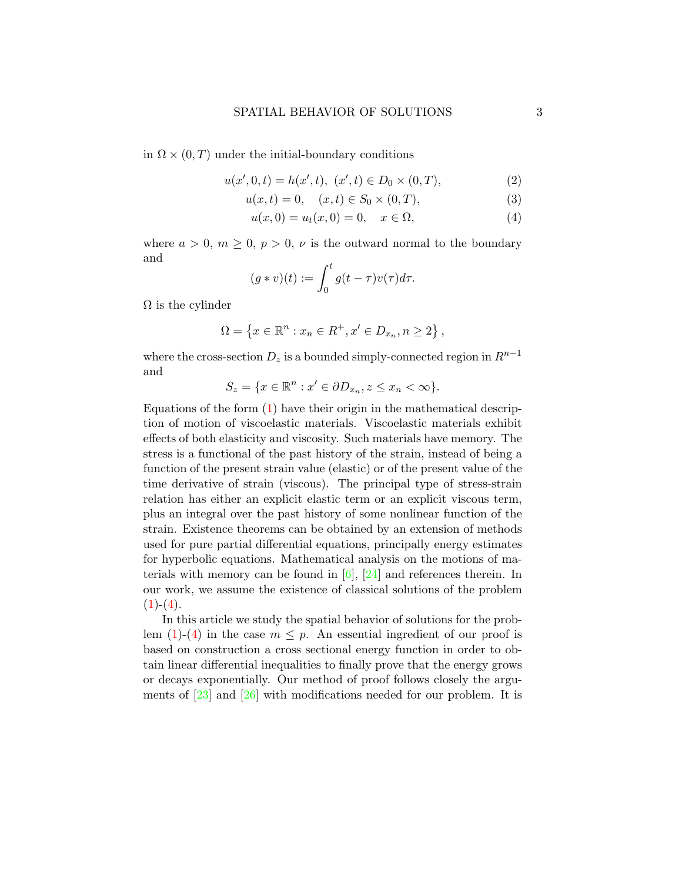in  $\Omega \times (0,T)$  under the initial-boundary conditions

$$
u(x',0,t) = h(x',t), \ (x',t) \in D_0 \times (0,T), \tag{2}
$$

$$
u(x,t) = 0, \quad (x,t) \in S_0 \times (0,T), \tag{3}
$$

<span id="page-2-2"></span><span id="page-2-1"></span><span id="page-2-0"></span>
$$
u(x,0) = u_t(x,0) = 0, \quad x \in \Omega,
$$
\n(4)

where  $a > 0$ ,  $m \geq 0$ ,  $p > 0$ ,  $\nu$  is the outward normal to the boundary and

$$
(g * v)(t) := \int_0^t g(t - \tau)v(\tau)d\tau.
$$

 $\Omega$  is the cylinder

$$
\Omega = \left\{ x \in \mathbb{R}^n : x_n \in R^+, x' \in D_{x_n}, n \ge 2 \right\},\
$$

where the cross-section  $D_z$  is a bounded simply-connected region in  $R^{n-1}$ and

$$
S_z = \{ x \in \mathbb{R}^n : x' \in \partial D_{x_n}, z \le x_n < \infty \}.
$$

Equations of the form  $(1)$  have their origin in the mathematical description of motion of viscoelastic materials. Viscoelastic materials exhibit effects of both elasticity and viscosity. Such materials have memory. The stress is a functional of the past history of the strain, instead of being a function of the present strain value (elastic) or of the present value of the time derivative of strain (viscous). The principal type of stress-strain relation has either an explicit elastic term or an explicit viscous term, plus an integral over the past history of some nonlinear function of the strain. Existence theorems can be obtained by an extension of methods used for pure partial differential equations, principally energy estimates for hyperbolic equations. Mathematical analysis on the motions of materials with memory can be found in  $[6]$ ,  $[24]$  and references therein. In our work, we assume the existence of classical solutions of the problem  $(1)-(4).$  $(1)-(4).$  $(1)-(4).$  $(1)-(4).$ 

In this article we study the spatial behavior of solutions for the problem  $(1)-(4)$  $(1)-(4)$  $(1)-(4)$  in the case  $m \leq p$ . An essential ingredient of our proof is based on construction a cross sectional energy function in order to obtain linear differential inequalities to finally prove that the energy grows or decays exponentially. Our method of proof follows closely the arguments of  $\left[23\right]$  and  $\left[26\right]$  with modifications needed for our problem. It is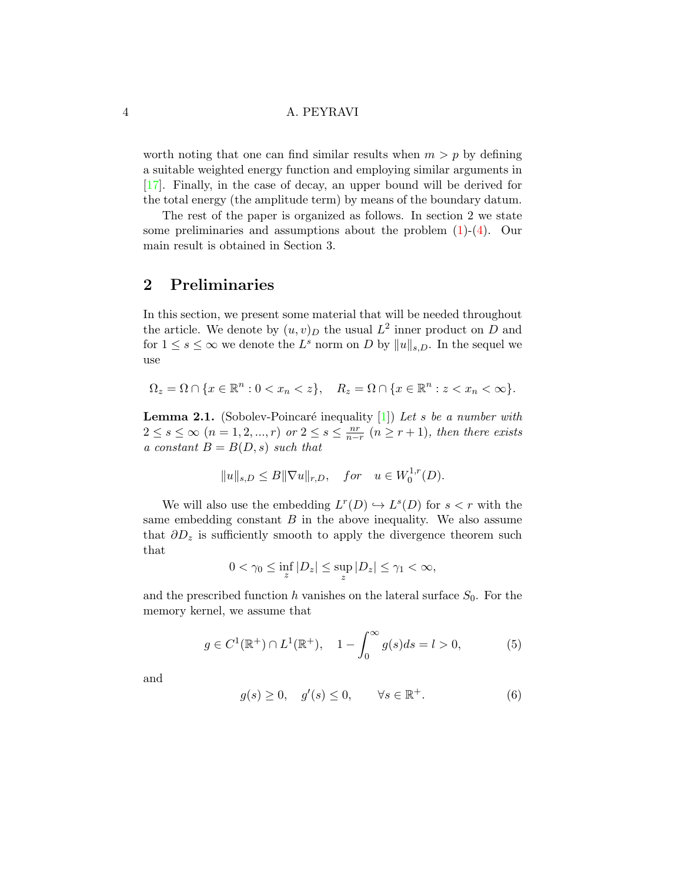worth noting that one can find similar results when  $m > p$  by defining a suitable weighted energy function and employing similar arguments in [\[17\]](#page-16-10). Finally, in the case of decay, an upper bound will be derived for the total energy (the amplitude term) by means of the boundary datum.

The rest of the paper is organized as follows. In section 2 we state some preliminaries and assumptions about the problem  $(1)-(4)$  $(1)-(4)$  $(1)-(4)$ . Our main result is obtained in Section 3.

## 2 Preliminaries

In this section, we present some material that will be needed throughout the article. We denote by  $(u, v)_D$  the usual  $L^2$  inner product on D and for  $1 \leq s \leq \infty$  we denote the  $L^s$  norm on D by  $||u||_{s,D}$ . In the sequel we use

$$
\Omega_z = \Omega \cap \{x \in \mathbb{R}^n : 0 < x_n < z\}, \quad R_z = \Omega \cap \{x \in \mathbb{R}^n : z < x_n < \infty\}.
$$

**Lemma 2.1.** (Sobolev-Poincaré inequality  $[1]$ ) Let s be a number with  $2 \leq s \leq \infty$   $(n = 1, 2, ..., r)$  or  $2 \leq s \leq \frac{nr}{n-r}$   $(n \geq r+1)$ , then there exists a constant  $B = B(D, s)$  such that

$$
||u||_{s,D} \le B||\nabla u||_{r,D}, \quad for \quad u \in W_0^{1,r}(D).
$$

We will also use the embedding  $L^r(D) \hookrightarrow L^s(D)$  for  $s < r$  with the same embedding constant  $B$  in the above inequality. We also assume that  $\partial D_z$  is sufficiently smooth to apply the divergence theorem such that

$$
0 < \gamma_0 \le \inf_z |D_z| \le \sup_z |D_z| \le \gamma_1 < \infty,
$$

and the prescribed function h vanishes on the lateral surface  $S_0$ . For the memory kernel, we assume that

<span id="page-3-0"></span>
$$
g \in C^{1}(\mathbb{R}^{+}) \cap L^{1}(\mathbb{R}^{+}), \quad 1 - \int_{0}^{\infty} g(s)ds = l > 0,
$$
 (5)

and

<span id="page-3-1"></span>
$$
g(s) \ge 0, \quad g'(s) \le 0, \qquad \forall s \in \mathbb{R}^+.
$$
 (6)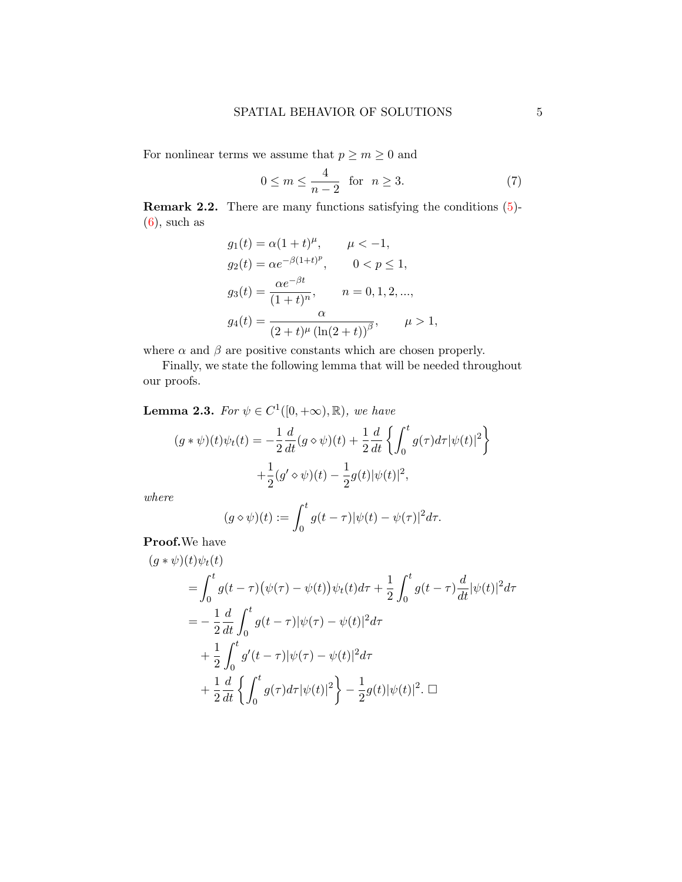For nonlinear terms we assume that  $p\geq m\geq 0$  and

<span id="page-4-0"></span>
$$
0 \le m \le \frac{4}{n-2} \quad \text{for} \quad n \ge 3. \tag{7}
$$

Remark 2.2. There are many functions satisfying the conditions [\(5\)](#page-3-0)-  $(6)$ , such as

$$
g_1(t) = \alpha (1+t)^{\mu}, \qquad \mu < -1,
$$
  
\n
$$
g_2(t) = \alpha e^{-\beta (1+t)^p}, \qquad 0 < p \le 1,
$$
  
\n
$$
g_3(t) = \frac{\alpha e^{-\beta t}}{(1+t)^n}, \qquad n = 0, 1, 2, ...,
$$
  
\n
$$
g_4(t) = \frac{\alpha}{(2+t)^{\mu} (\ln(2+t))^{\beta}}, \qquad \mu > 1,
$$

where  $\alpha$  and  $\beta$  are positive constants which are chosen properly.

Finally, we state the following lemma that will be needed throughout our proofs.

**Lemma 2.3.** For  $\psi \in C^1([0, +\infty), \mathbb{R})$ , we have

$$
(g * \psi)(t)\psi_t(t) = -\frac{1}{2}\frac{d}{dt}(g \diamond \psi)(t) + \frac{1}{2}\frac{d}{dt}\left\{\int_0^t g(\tau)d\tau|\psi(t)|^2\right\} + \frac{1}{2}(g' \diamond \psi)(t) - \frac{1}{2}g(t)|\psi(t)|^2,
$$

where

$$
(g \diamond \psi)(t) := \int_0^t g(t-\tau)|\psi(t) - \psi(\tau)|^2 d\tau.
$$

Proof.We have

$$
(g * \psi)(t)\psi_t(t)
$$
  
=  $\int_0^t g(t-\tau)(\psi(\tau) - \psi(t))\psi_t(t)d\tau + \frac{1}{2}\int_0^t g(t-\tau)\frac{d}{dt}|\psi(t)|^2d\tau$   
=  $-\frac{1}{2}\frac{d}{dt}\int_0^t g(t-\tau)|\psi(\tau) - \psi(t)|^2d\tau$   
+  $\frac{1}{2}\int_0^t g'(t-\tau)|\psi(\tau) - \psi(t)|^2d\tau$   
+  $\frac{1}{2}\frac{d}{dt}\left\{\int_0^t g(\tau)d\tau|\psi(t)|^2\right\} - \frac{1}{2}g(t)|\psi(t)|^2.$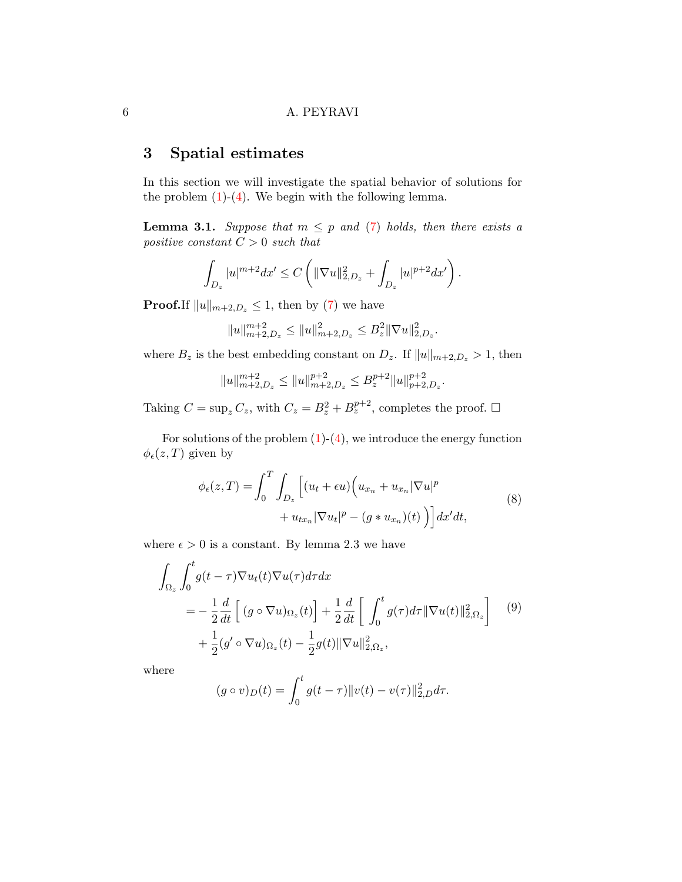# 3 Spatial estimates

In this section we will investigate the spatial behavior of solutions for the problem  $(1)-(4)$  $(1)-(4)$  $(1)-(4)$ . We begin with the following lemma.

**Lemma 3.1.** Suppose that  $m \leq p$  and [\(7\)](#page-4-0) holds, then there exists a positive constant  $C > 0$  such that

$$
\int_{D_z} |u|^{m+2} dx' \leq C \left( \|\nabla u\|_{2,D_z}^2 + \int_{D_z} |u|^{p+2} dx' \right).
$$

**Proof.**If  $||u||_{m+2,D_z} \leq 1$ , then by [\(7\)](#page-4-0) we have

$$
||u||_{m+2,D_z}^{m+2} \le ||u||_{m+2,D_z}^2 \le B_z^2 ||\nabla u||_{2,D_z}^2.
$$

where  $B_z$  is the best embedding constant on  $D_z$ . If  $||u||_{m+2,D_z} > 1$ , then

$$
||u||_{m+2,D_z}^{m+2} \le ||u||_{m+2,D_z}^{p+2} \le B_z^{p+2} ||u||_{p+2,D_z}^{p+2}.
$$

Taking  $C = \sup_z C_z$ , with  $C_z = B_z^2 + B_z^{p+2}$ , completes the proof.  $\Box$ 

For solutions of the problem  $(1)-(4)$  $(1)-(4)$  $(1)-(4)$ , we introduce the energy function  $\phi_{\epsilon}(z,T)$  given by

<span id="page-5-0"></span>
$$
\phi_{\epsilon}(z,T) = \int_0^T \int_{D_z} \left[ (u_t + \epsilon u) \left( u_{x_n} + u_{x_n} |\nabla u|^p \right. \right. \\ \left. + u_{tx_n} |\nabla u_t|^p - (g * u_{x_n})(t) \right) \right] dx'dt,
$$
\n
$$
(8)
$$

where  $\epsilon > 0$  is a constant. By lemma 2.3 we have

<span id="page-5-1"></span>
$$
\int_{\Omega_z} \int_0^t g(t-\tau) \nabla u_t(t) \nabla u(\tau) d\tau dx
$$
\n
$$
= -\frac{1}{2} \frac{d}{dt} \left[ (g \circ \nabla u)_{\Omega_z}(t) \right] + \frac{1}{2} \frac{d}{dt} \left[ \int_0^t g(\tau) d\tau ||\nabla u(t)||_{2,\Omega_z}^2 \right] \tag{9}
$$
\n
$$
+ \frac{1}{2} (g' \circ \nabla u)_{\Omega_z}(t) - \frac{1}{2} g(t) ||\nabla u||_{2,\Omega_z}^2,
$$

where

$$
(g \circ v)_D(t) = \int_0^t g(t - \tau) ||v(t) - v(\tau)||_{2,D}^2 d\tau.
$$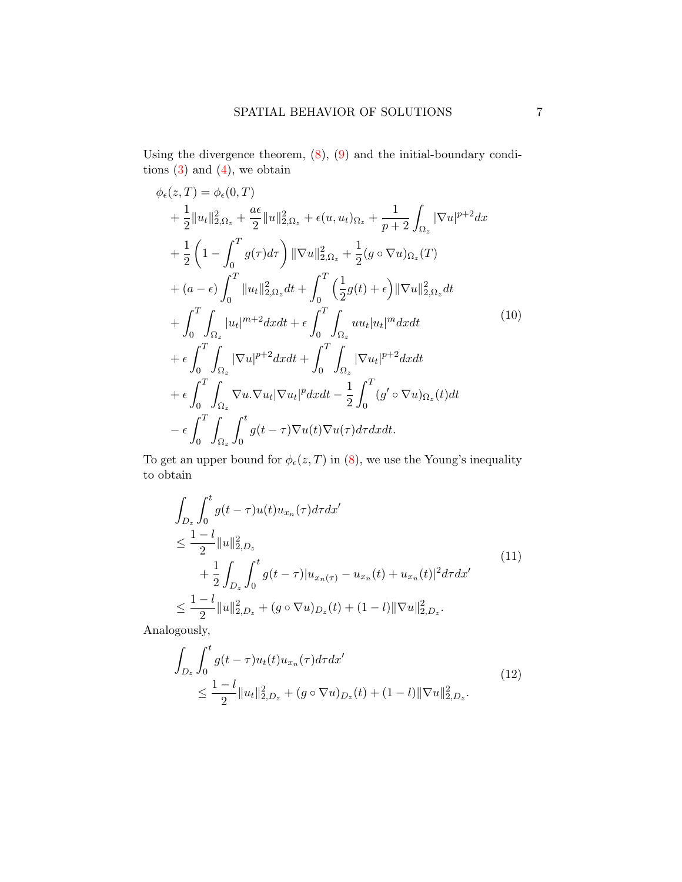Using the divergence theorem,  $(8)$ ,  $(9)$  and the initial-boundary conditions  $(3)$  and  $(4)$ , we obtain

<span id="page-6-2"></span>
$$
\phi_{\epsilon}(z,T) = \phi_{\epsilon}(0,T)
$$
\n
$$
+ \frac{1}{2}||u_t||_{2,\Omega_z}^2 + \frac{a\epsilon}{2}||u||_{2,\Omega_z}^2 + \epsilon(u, u_t)_{\Omega_z} + \frac{1}{p+2}\int_{\Omega_z} |\nabla u|^{p+2} dx
$$
\n
$$
+ \frac{1}{2}\left(1 - \int_0^T g(\tau)d\tau\right) ||\nabla u||_{2,\Omega_z}^2 + \frac{1}{2}(g \circ \nabla u)_{\Omega_z}(T)
$$
\n
$$
+ (a - \epsilon) \int_0^T ||u_t||_{2,\Omega_z}^2 dt + \int_0^T \left(\frac{1}{2}g(t) + \epsilon\right) ||\nabla u||_{2,\Omega_z}^2 dt
$$
\n
$$
+ \int_0^T \int_{\Omega_z} |u_t|^{m+2} dx dt + \epsilon \int_0^T \int_{\Omega_z} u u_t |u_t|^m dx dt
$$
\n
$$
+ \epsilon \int_0^T \int_{\Omega_z} |\nabla u|^{p+2} dx dt + \int_0^T \int_{\Omega_z} |\nabla u_t|^{p+2} dx dt
$$
\n
$$
+ \epsilon \int_0^T \int_{\Omega_z} \nabla u \cdot \nabla u_t |\nabla u_t|^p dx dt - \frac{1}{2} \int_0^T (g' \circ \nabla u)_{\Omega_z}(t) dt
$$
\n
$$
- \epsilon \int_0^T \int_{\Omega_z} \int_0^t g(t - \tau) \nabla u(t) \nabla u(\tau) d\tau dx dt.
$$
\n(10)

To get an upper bound for  $\phi_{\epsilon}(z,T)$  in [\(8\)](#page-5-0), we use the Young's inequality to obtain

<span id="page-6-0"></span>
$$
\int_{D_z} \int_0^t g(t-\tau)u(t)u_{x_n}(\tau)d\tau dx'
$$
\n
$$
\leq \frac{1-l}{2} \|u\|_{2,D_z}^2
$$
\n
$$
+ \frac{1}{2} \int_{D_z} \int_0^t g(t-\tau)|u_{x_n}(\tau) - u_{x_n}(t) + u_{x_n}(t)|^2 d\tau dx'
$$
\n
$$
\leq \frac{1-l}{2} \|u\|_{2,D_z}^2 + (g \circ \nabla u)_{D_z}(t) + (1-l) \|\nabla u\|_{2,D_z}^2.
$$
\n
$$
(11)
$$

Analogously,

<span id="page-6-1"></span>
$$
\int_{D_z} \int_0^t g(t-\tau)u_t(t)u_{x_n}(\tau)d\tau dx'
$$
\n
$$
\leq \frac{1-l}{2} \|u_t\|_{2,D_z}^2 + (g \circ \nabla u)_{D_z}(t) + (1-l) \|\nabla u\|_{2,D_z}^2.
$$
\n(12)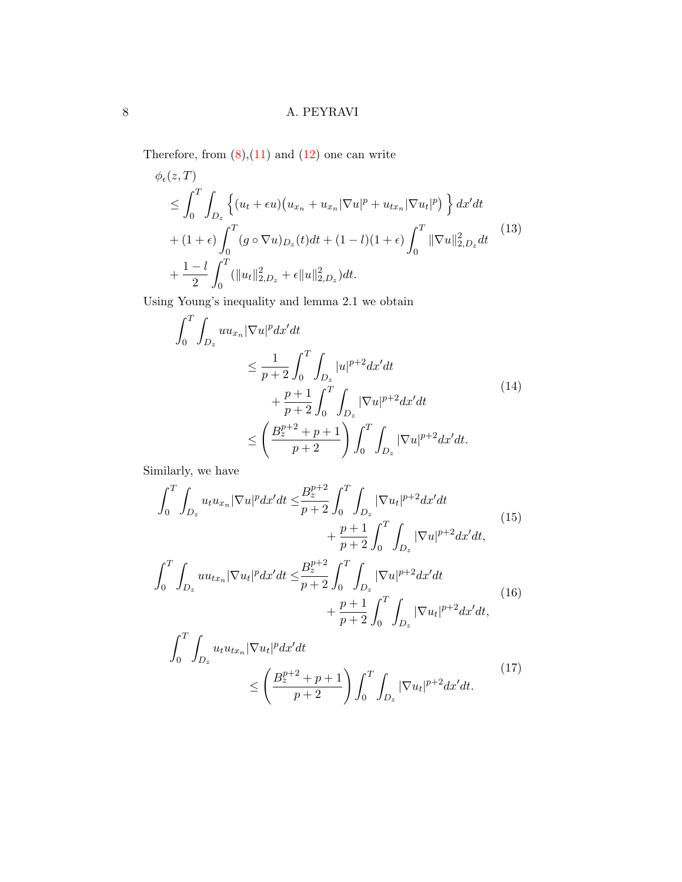Therefore, from  $(8)$ , $(11)$  and  $(12)$  one can write

<span id="page-7-0"></span>
$$
\phi_{\epsilon}(z,T) \leq \int_{0}^{T} \int_{D_{z}} \left\{ (u_{t} + \epsilon u) (u_{x_{n}} + u_{x_{n}} |\nabla u|^{p} + u_{tx_{n}} |\nabla u_{t}|^{p}) \right\} dx'dt \n+ (1 + \epsilon) \int_{0}^{T} (g \circ \nabla u)_{D_{z}}(t) dt + (1 - l)(1 + \epsilon) \int_{0}^{T} ||\nabla u||_{2, D_{z}}^{2} dt \right\}\n+ \frac{1 - l}{2} \int_{0}^{T} (||u_{t}||_{2, D_{z}}^{2} + \epsilon ||u||_{2, D_{z}}^{2}) dt.
$$
\n(13)

Using Young's inequality and lemma 2.1 we obtain

$$
\int_{0}^{T} \int_{D_{z}} u u_{x_{n}} |\nabla u|^{p} dx'dt
$$
\n
$$
\leq \frac{1}{p+2} \int_{0}^{T} \int_{D_{z}} |u|^{p+2} dx'dt
$$
\n
$$
+ \frac{p+1}{p+2} \int_{0}^{T} \int_{D_{z}} |\nabla u|^{p+2} dx'dt
$$
\n
$$
\leq \left(\frac{B_{z}^{p+2} + p + 1}{p+2}\right) \int_{0}^{T} \int_{D_{z}} |\nabla u|^{p+2} dx'dt.
$$
\n(14)

Similarly, we have

$$
\int_{0}^{T} \int_{D_{z}} u_{t} u_{x_{n}} |\nabla u|^{p} dx'dt \leq \frac{B_{z}^{p+2}}{p+2} \int_{0}^{T} \int_{D_{z}} |\nabla u_{t}|^{p+2} dx'dt + \frac{p+1}{p+2} \int_{0}^{T} \int_{D_{z}} |\nabla u|^{p+2} dx'dt,
$$
\n(15)

$$
\int_{0}^{T} \int_{D_{z}} u u_{tx_{n}} |\nabla u_{t}|^{p} dx'dt \leq \frac{B_{z}^{p+2}}{p+2} \int_{0}^{T} \int_{D_{z}} |\nabla u|^{p+2} dx'dt + \frac{p+1}{p+2} \int_{0}^{T} \int_{D_{z}} |\nabla u_{t}|^{p+2} dx'dt,
$$
\n(16)

<span id="page-7-1"></span>
$$
\int_{0}^{T} \int_{D_{z}} u_{t} u_{tx_{n}} |\nabla u_{t}|^{p} dx' dt
$$
\n
$$
\leq \left( \frac{B_{z}^{p+2} + p + 1}{p+2} \right) \int_{0}^{T} \int_{D_{z}} |\nabla u_{t}|^{p+2} dx' dt.
$$
\n(17)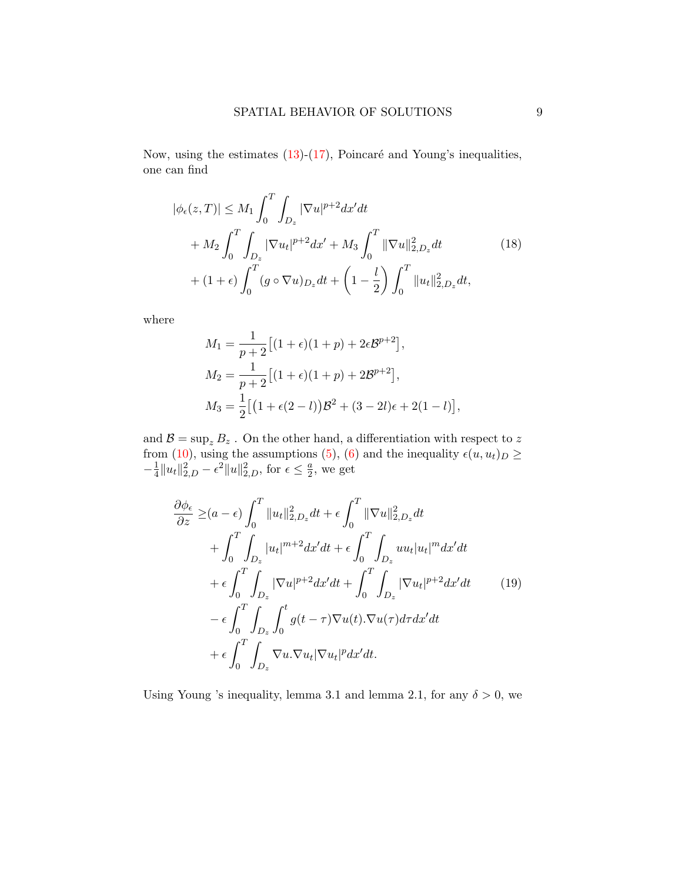Now, using the estimates  $(13)-(17)$  $(13)-(17)$  $(13)-(17)$ , Poincaré and Young's inequalities, one can find

<span id="page-8-1"></span>
$$
|\phi_{\epsilon}(z,T)| \le M_1 \int_0^T \int_{D_z} |\nabla u|^{p+2} dx'dt + M_2 \int_0^T \int_{D_z} |\nabla u_t|^{p+2} dx' + M_3 \int_0^T \|\nabla u\|_{2,D_z}^2 dt + (1+\epsilon) \int_0^T (g \circ \nabla u)_{D_z} dt + \left(1 - \frac{l}{2}\right) \int_0^T \|u_t\|_{2,D_z}^2 dt,
$$
 (18)

where

$$
M_1 = \frac{1}{p+2} \left[ (1+\epsilon)(1+p) + 2\epsilon \mathcal{B}^{p+2} \right],
$$
  
\n
$$
M_2 = \frac{1}{p+2} \left[ (1+\epsilon)(1+p) + 2\mathcal{B}^{p+2} \right],
$$
  
\n
$$
M_3 = \frac{1}{2} \left[ \left( 1 + \epsilon(2-l) \right) \mathcal{B}^2 + (3-2l)\epsilon + 2(1-l) \right],
$$

and  $\mathcal{B} = \sup_z B_z$ . On the other hand, a differentiation with respect to z from [\(10\)](#page-6-2), using the assumptions [\(5\)](#page-3-0), [\(6\)](#page-3-1) and the inequality  $\epsilon(u, u_t)_D \geq$  $-\frac{1}{4}$  $\frac{1}{4}||u_t||_{2,D}^2 - \epsilon^2 ||u||_{2,D}^2$ , for  $\epsilon \leq \frac{a}{2}$  $\frac{a}{2}$ , we get

<span id="page-8-0"></span>
$$
\frac{\partial \phi_{\epsilon}}{\partial z} \geq (a - \epsilon) \int_{0}^{T} ||u_{t}||_{2, D_{z}}^{2} dt + \epsilon \int_{0}^{T} ||\nabla u||_{2, D_{z}}^{2} dt \n+ \int_{0}^{T} \int_{D_{z}} |u_{t}|^{m+2} dx'dt + \epsilon \int_{0}^{T} \int_{D_{z}} u u_{t} |u_{t}|^{m} dx'dt \n+ \epsilon \int_{0}^{T} \int_{D_{z}} |\nabla u|^{p+2} dx'dt + \int_{0}^{T} \int_{D_{z}} |\nabla u_{t}|^{p+2} dx'dt \n- \epsilon \int_{0}^{T} \int_{D_{z}} \int_{0}^{t} g(t - \tau) \nabla u(t) . \nabla u(\tau) d\tau dx'dt \n+ \epsilon \int_{0}^{T} \int_{D_{z}} \nabla u . \nabla u_{t} |\nabla u_{t}|^{p} dx'dt.
$$
\n(19)

Using Young 's inequality, lemma 3.1 and lemma 2.1, for any  $\delta > 0$ , we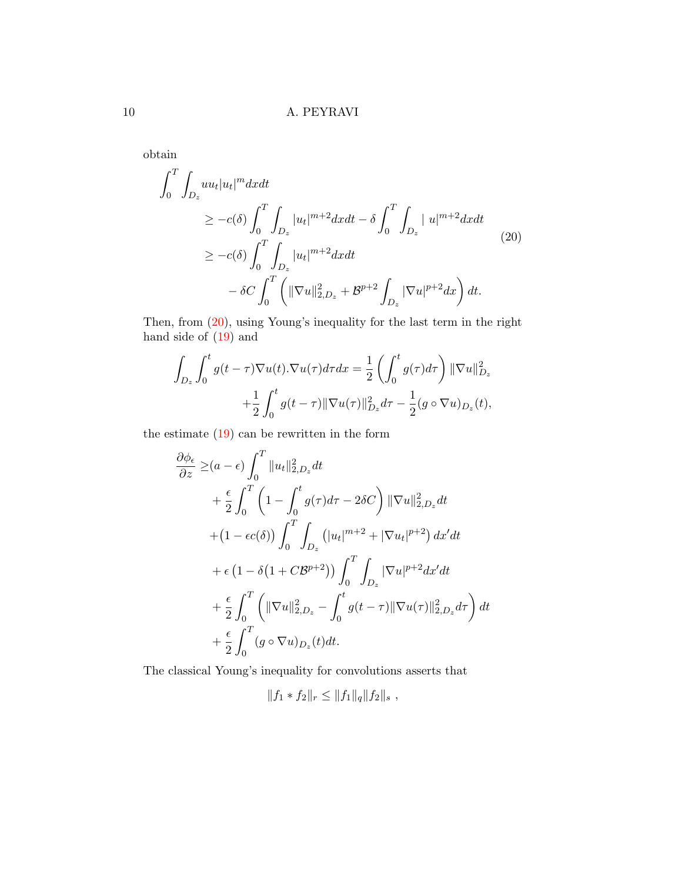obtain

<span id="page-9-0"></span>
$$
\int_{0}^{T} \int_{D_{z}} u u_{t} |u_{t}|^{m} dx dt
$$
\n
$$
\geq -c(\delta) \int_{0}^{T} \int_{D_{z}} |u_{t}|^{m+2} dx dt - \delta \int_{0}^{T} \int_{D_{z}} |u|^{m+2} dx dt
$$
\n
$$
\geq -c(\delta) \int_{0}^{T} \int_{D_{z}} |u_{t}|^{m+2} dx dt
$$
\n
$$
- \delta C \int_{0}^{T} \left( \|\nabla u\|_{2, D_{z}}^{2} + \mathcal{B}^{p+2} \int_{D_{z}} |\nabla u|^{p+2} dx \right) dt.
$$
\n(20)

Then, from [\(20\)](#page-9-0), using Young's inequality for the last term in the right hand side of [\(19\)](#page-8-0) and

$$
\int_{D_z} \int_0^t g(t-\tau) \nabla u(t) . \nabla u(\tau) d\tau dx = \frac{1}{2} \left( \int_0^t g(\tau) d\tau \right) ||\nabla u||_{D_z}^2
$$

$$
+ \frac{1}{2} \int_0^t g(t-\tau) ||\nabla u(\tau)||_{D_z}^2 d\tau - \frac{1}{2} (g \circ \nabla u)_{D_z}(t),
$$

the estimate [\(19\)](#page-8-0) can be rewritten in the form

$$
\frac{\partial \phi_{\epsilon}}{\partial z} \geq (a - \epsilon) \int_{0}^{T} ||u_{t}||_{2, D_{z}}^{2} dt \n+ \frac{\epsilon}{2} \int_{0}^{T} \left(1 - \int_{0}^{t} g(\tau) d\tau - 2\delta C\right) ||\nabla u||_{2, D_{z}}^{2} dt \n+ (1 - \epsilon c(\delta)) \int_{0}^{T} \int_{D_{z}} (|u_{t}|^{m+2} + |\nabla u_{t}|^{p+2}) dx'dt \n+ \epsilon (1 - \delta(1 + C\mathcal{B}^{p+2})) \int_{0}^{T} \int_{D_{z}} |\nabla u|^{p+2} dx'dt \n+ \frac{\epsilon}{2} \int_{0}^{T} \left( ||\nabla u||_{2, D_{z}}^{2} - \int_{0}^{t} g(t - \tau) ||\nabla u(\tau)||_{2, D_{z}}^{2} d\tau \right) dt \n+ \frac{\epsilon}{2} \int_{0}^{T} (g \circ \nabla u)_{D_{z}}(t) dt.
$$

The classical Young's inequality for convolutions asserts that

$$
||f_1 * f_2||_r \leq ||f_1||_q ||f_2||_s ,
$$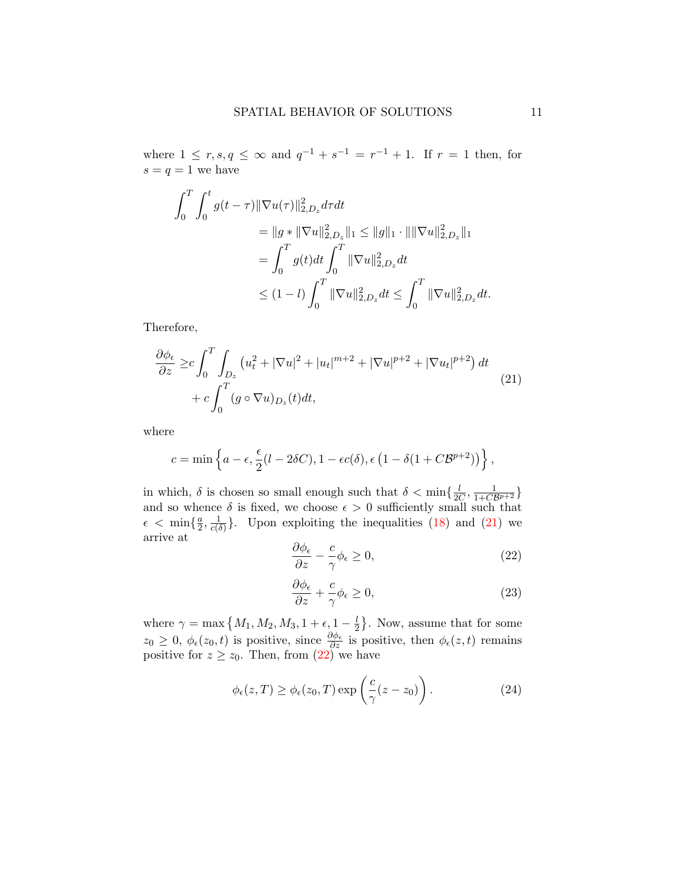where  $1 \le r, s, q \le \infty$  and  $q^{-1} + s^{-1} = r^{-1} + 1$ . If  $r = 1$  then, for  $s = q = 1$  we have

$$
\int_0^T \int_0^t g(t-\tau) \|\nabla u(\tau)\|_{2,D_z}^2 d\tau dt
$$
  
\n
$$
= \|g * \|\nabla u\|_{2,D_z}^2 \|_1 \le \|g\|_1 \cdot \|\|\nabla u\|_{2,D_z}^2 \|_1
$$
  
\n
$$
= \int_0^T g(t) dt \int_0^T \|\nabla u\|_{2,D_z}^2 dt
$$
  
\n
$$
\le (1-l) \int_0^T \|\nabla u\|_{2,D_z}^2 dt \le \int_0^T \|\nabla u\|_{2,D_z}^2 dt.
$$

Therefore,

<span id="page-10-0"></span>
$$
\frac{\partial \phi_{\epsilon}}{\partial z} \geq c \int_0^T \int_{D_z} \left( u_t^2 + |\nabla u|^2 + |u_t|^{m+2} + |\nabla u|^{p+2} + |\nabla u_t|^{p+2} \right) dt
$$
  
+ 
$$
c \int_0^T (g \circ \nabla u)_{D_z}(t) dt,
$$
 (21)

where

$$
c = \min\left\{a - \epsilon, \frac{\epsilon}{2}(l - 2\delta C), 1 - \epsilon c(\delta), \epsilon (1 - \delta(1 + C\mathcal{B}^{p+2}))\right\},\,
$$

in which,  $\delta$  is chosen so small enough such that  $\delta < \min\{\frac{l}{2\delta}\}$  $\frac{l}{2C}, \frac{1}{1+C\mathcal{B}^{p+2}}\}$ and so whence  $\delta$  is fixed, we choose  $\epsilon > 0$  sufficiently small such that  $\epsilon \, < \, \min\{\frac{a}{2}\}$  $\frac{a}{2}, \frac{1}{c(\delta)}$  $\frac{1}{c(\delta)}$ . Upon exploiting the inequalities [\(18\)](#page-8-1) and [\(21\)](#page-10-0) we arrive at

<span id="page-10-1"></span>
$$
\frac{\partial \phi_{\epsilon}}{\partial z} - \frac{c}{\gamma} \phi_{\epsilon} \ge 0, \tag{22}
$$

<span id="page-10-2"></span>
$$
\frac{\partial \phi_{\epsilon}}{\partial z} + \frac{c}{\gamma} \phi_{\epsilon} \ge 0, \tag{23}
$$

where  $\gamma = \max\left\{M_1, M_2, M_3, 1 + \epsilon, 1 - \frac{l}{2}\right\}$  $\frac{l}{2}$ . Now, assume that for some  $z_0 \geq 0, \, \phi_\epsilon(z_0, t)$  is positive, since  $\frac{\partial \phi_\epsilon}{\partial z}$  is positive, then  $\phi_\epsilon(z, t)$  remains positive for  $z \ge z_0$ . Then, from [\(22\)](#page-10-1) we have

<span id="page-10-3"></span>
$$
\phi_{\epsilon}(z,T) \ge \phi_{\epsilon}(z_0,T) \exp\left(\frac{c}{\gamma}(z-z_0)\right). \tag{24}
$$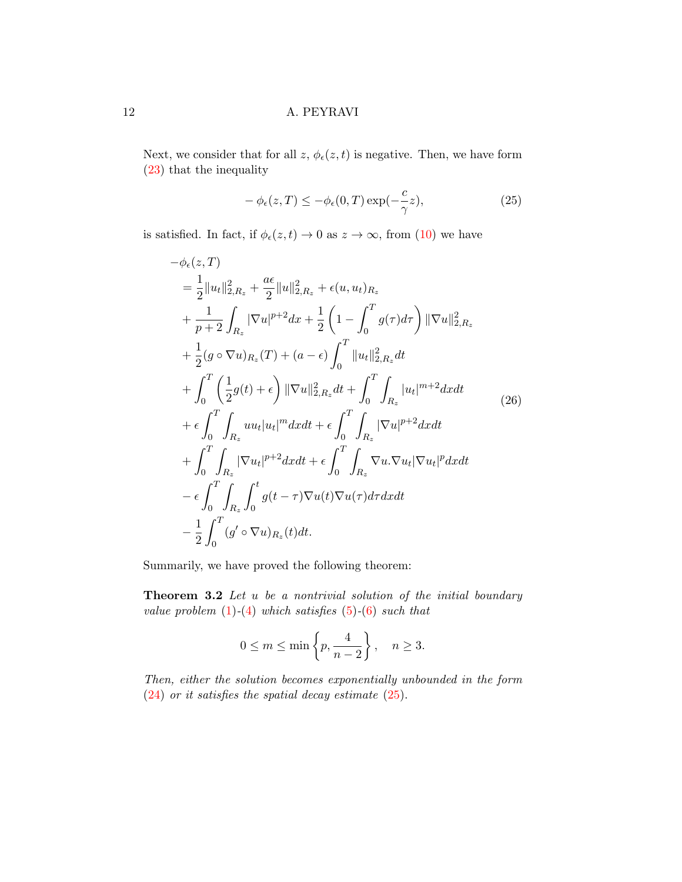Next, we consider that for all  $z, \phi_{\epsilon}(z, t)$  is negative. Then, we have form [\(23\)](#page-10-2) that the inequality

<span id="page-11-0"></span>
$$
-\phi_{\epsilon}(z,T) \le -\phi_{\epsilon}(0,T) \exp(-\frac{c}{\gamma}z),\tag{25}
$$

is satisfied. In fact, if  $\phi_{\epsilon}(z,t) \to 0$  as  $z \to \infty$ , from [\(10\)](#page-6-2) we have

<span id="page-11-1"></span>
$$
-\phi_{\epsilon}(z,T)
$$
  
\n
$$
= \frac{1}{2}||u_{t}||_{2,R_{z}}^{2} + \frac{a\epsilon}{2}||u||_{2,R_{z}}^{2} + \epsilon(u, u_{t})_{R_{z}} + \frac{1}{p+2}\int_{R_{z}}|\nabla u|^{p+2}dx + \frac{1}{2}\left(1 - \int_{0}^{T}g(\tau)d\tau\right)||\nabla u||_{2,R_{z}}^{2} + \frac{1}{2}(g \circ \nabla u)_{R_{z}}(T) + (a - \epsilon)\int_{0}^{T}||u_{t}||_{2,R_{z}}^{2}dt + \int_{0}^{T}\left(\frac{1}{2}g(t) + \epsilon\right)||\nabla u||_{2,R_{z}}^{2}dt + \int_{0}^{T}\int_{R_{z}}|u_{t}|^{m+2}dxdt + \epsilon\int_{0}^{T}\int_{R_{z}}|u_{t}|^{m+2}dxdt + \epsilon\int_{0}^{T}\int_{R_{z}}|\nabla u|^{p+2}dxdt + \int_{0}^{T}\int_{R_{z}}|\nabla u_{t}|^{p+2}dxdt - \epsilon\int_{0}^{T}\int_{R_{z}}|\nabla u_{t}|^{p+2}dxdt + \epsilon\int_{0}^{T}\int_{R_{z}}\nabla u.\nabla u_{t}|\nabla u_{t}|^{p}dxdt - \epsilon\int_{0}^{T}\int_{R_{z}}\int_{0}^{t}g(t-\tau)\nabla u(t)\nabla u(\tau)d\tau dxdt - \frac{1}{2}\int_{0}^{T}(g' \circ \nabla u)_{R_{z}}(t)dt.
$$

Summarily, we have proved the following theorem:

**Theorem 3.2** Let  $u$  be a nontrivial solution of the initial boundary value problem  $(1)-(4)$  $(1)-(4)$  $(1)-(4)$  which satisfies  $(5)-(6)$  $(5)-(6)$  $(5)-(6)$  such that

$$
0 \le m \le \min\left\{p, \frac{4}{n-2}\right\}, \quad n \ge 3.
$$

Then, either the solution becomes exponentially unbounded in the form [\(24\)](#page-10-3) or it satisfies the spatial decay estimate [\(25\)](#page-11-0).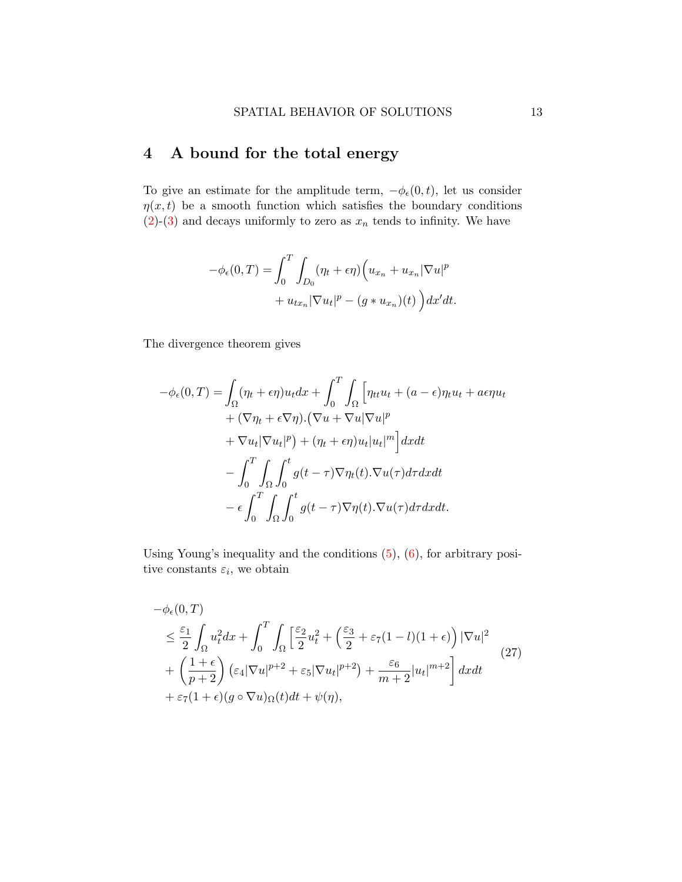# 4 A bound for the total energy

To give an estimate for the amplitude term,  $-\phi_{\epsilon}(0, t)$ , let us consider  $\eta(x, t)$  be a smooth function which satisfies the boundary conditions  $(2)-(3)$  $(2)-(3)$  $(2)-(3)$  and decays uniformly to zero as  $x_n$  tends to infinity. We have

$$
-\phi_{\epsilon}(0,T) = \int_0^T \int_{D_0} (\eta_t + \epsilon \eta) \Big( u_{x_n} + u_{x_n} |\nabla u|^p
$$

$$
+ u_{tx_n} |\nabla u_t|^p - (g * u_{x_n})(t) \Big) dx'dt.
$$

The divergence theorem gives

$$
-\phi_{\epsilon}(0,T) = \int_{\Omega} (\eta_t + \epsilon \eta) u_t dx + \int_0^T \int_{\Omega} \left[ \eta_{tt} u_t + (a - \epsilon) \eta_t u_t + a \epsilon \eta u_t \right. \n+ (\nabla \eta_t + \epsilon \nabla \eta) \cdot (\nabla u + \nabla u |\nabla u|^p \n+ \nabla u_t |\nabla u_t|^p) + (\eta_t + \epsilon \eta) u_t |u_t|^m \right] dx dt \n- \int_0^T \int_{\Omega} \int_0^t g(t - \tau) \nabla \eta_t(t) \cdot \nabla u(\tau) d\tau dx dt \n- \epsilon \int_0^T \int_{\Omega} \int_0^t g(t - \tau) \nabla \eta(t) \cdot \nabla u(\tau) d\tau dx dt.
$$

Using Young's inequality and the conditions [\(5\)](#page-3-0), [\(6\)](#page-3-1), for arbitrary positive constants  $\varepsilon_i$ , we obtain

<span id="page-12-0"></span>
$$
-\phi_{\epsilon}(0,T)
$$
\n
$$
\leq \frac{\varepsilon_1}{2} \int_{\Omega} u_t^2 dx + \int_0^T \int_{\Omega} \left[ \frac{\varepsilon_2}{2} u_t^2 + \left( \frac{\varepsilon_3}{2} + \varepsilon_7 (1-l)(1+\epsilon) \right) |\nabla u|^2 + \left( \frac{1+\epsilon}{p+2} \right) (\varepsilon_4 |\nabla u|^{p+2} + \varepsilon_5 |\nabla u_t|^{p+2}) + \frac{\varepsilon_6}{m+2} |u_t|^{m+2} \right] dx dt
$$
\n
$$
+ \varepsilon_7 (1+\epsilon)(g \circ \nabla u)_{\Omega}(t) dt + \psi(\eta), \tag{27}
$$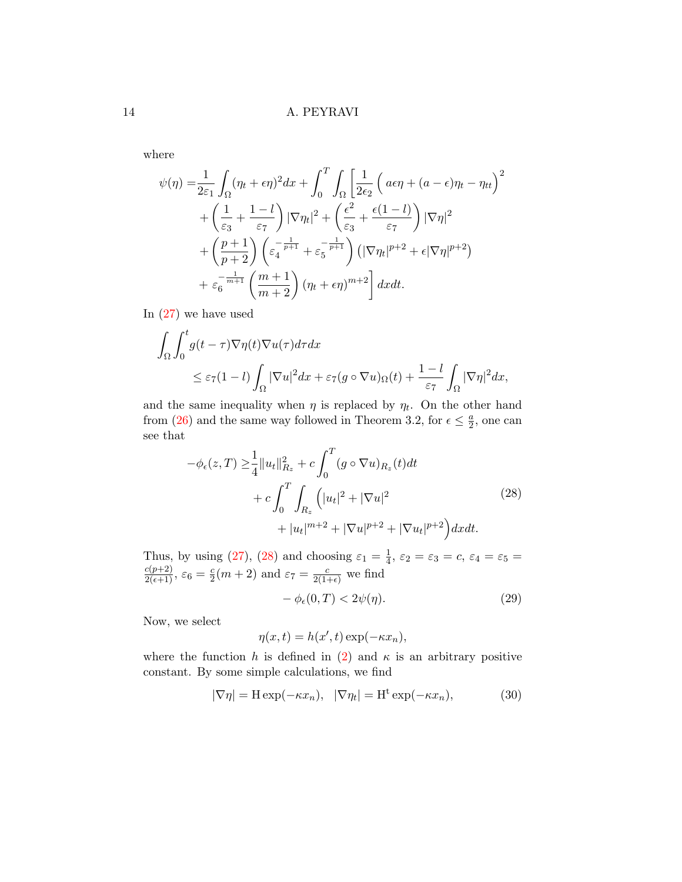where

$$
\psi(\eta) = \frac{1}{2\varepsilon_1} \int_{\Omega} (\eta_t + \epsilon \eta)^2 dx + \int_0^T \int_{\Omega} \left[ \frac{1}{2\epsilon_2} \left( a\epsilon \eta + (a - \epsilon) \eta_t - \eta_{tt} \right)^2 + \left( \frac{1}{\varepsilon_3} + \frac{1 - l}{\varepsilon_7} \right) |\nabla \eta_t|^2 + \left( \frac{\epsilon^2}{\varepsilon_3} + \frac{\epsilon (1 - l)}{\varepsilon_7} \right) |\nabla \eta|^2 + \left( \frac{p + 1}{p + 2} \right) \left( \varepsilon_4^{-\frac{1}{p + 1}} + \varepsilon_5^{-\frac{1}{p + 1}} \right) \left( |\nabla \eta_t|^{p + 2} + \epsilon |\nabla \eta|^{p + 2} \right) + \varepsilon_6^{-\frac{1}{m + 1}} \left( \frac{m + 1}{m + 2} \right) (\eta_t + \epsilon \eta)^{m + 2} \right] dx dt.
$$

In [\(27\)](#page-12-0) we have used

$$
\int_{\Omega} \int_0^t g(t-\tau) \nabla \eta(t) \nabla u(\tau) d\tau dx
$$
  
\n
$$
\leq \varepsilon_7 (1-l) \int_{\Omega} |\nabla u|^2 dx + \varepsilon_7 (g \circ \nabla u)_{\Omega}(t) + \frac{1-l}{\varepsilon_7} \int_{\Omega} |\nabla \eta|^2 dx,
$$

and the same inequality when  $\eta$  is replaced by  $\eta_t$ . On the other hand from [\(26\)](#page-11-1) and the same way followed in Theorem 3.2, for  $\epsilon \leq \frac{a}{2}$  $\frac{a}{2}$ , one can see that

<span id="page-13-0"></span>
$$
-\phi_{\epsilon}(z,T) \geq \frac{1}{4} ||u_t||_{R_z}^2 + c \int_0^T (g \circ \nabla u)_{R_z}(t) dt + c \int_0^T \int_{R_z} (|u_t|^2 + |\nabla u|^2 + |u_t|^{m+2} + |\nabla u|^{p+2} + |\nabla u_t|^{p+2}) dx dt.
$$
 (28)

Thus, by using [\(27\)](#page-12-0), [\(28\)](#page-13-0) and choosing  $\varepsilon_1 = \frac{1}{4}$  $\frac{1}{4}$ ,  $\varepsilon_2 = \varepsilon_3 = c$ ,  $\varepsilon_4 = \varepsilon_5 =$  $\frac{c(p+2)}{2(\epsilon+1)}, \, \varepsilon_6 = \frac{c}{2}$  $\frac{c}{2}(m+2)$  and  $\varepsilon_7 = \frac{c}{2(1+\epsilon)}$  we find

<span id="page-13-1"></span>
$$
-\phi_{\epsilon}(0,T) < 2\psi(\eta). \tag{29}
$$

Now, we select

$$
\eta(x,t) = h(x',t) \exp(-\kappa x_n),
$$

where the function h is defined in [\(2\)](#page-2-2) and  $\kappa$  is an arbitrary positive constant. By some simple calculations, we find

<span id="page-13-2"></span>
$$
|\nabla \eta| = \mathcal{H} \exp(-\kappa x_n), \quad |\nabla \eta_t| = \mathcal{H}^{\text{t}} \exp(-\kappa x_n), \tag{30}
$$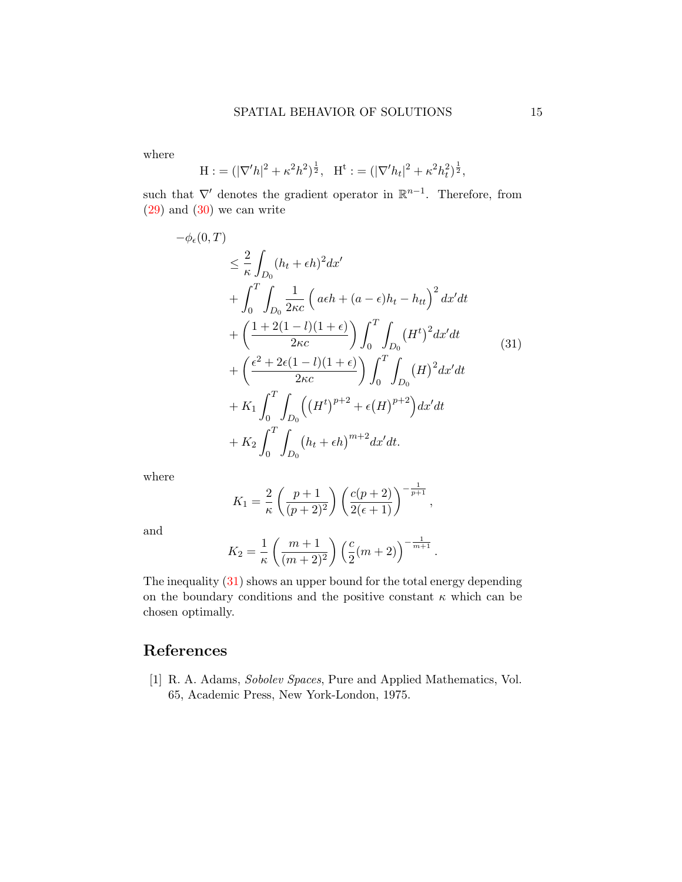where

$$
\mathcal{H} := (|\nabla^{\prime} h|^2 + \kappa^2 h^2)^{\frac{1}{2}}, \quad \mathcal{H}^{\mathfrak{t}} := (|\nabla^{\prime} h_t|^2 + \kappa^2 h_t^2)^{\frac{1}{2}},
$$

such that  $\nabla'$  denotes the gradient operator in  $\mathbb{R}^{n-1}$ . Therefore, from  $(29)$  and  $(30)$  we can write

<span id="page-14-1"></span>
$$
-\phi_{\epsilon}(0,T)
$$
\n
$$
\leq \frac{2}{\kappa} \int_{D_0} (h_t + \epsilon h)^2 dx'
$$
\n
$$
+ \int_0^T \int_{D_0} \frac{1}{2\kappa c} \left( a\epsilon h + (a - \epsilon)h_t - h_{tt} \right)^2 dx'dt
$$
\n
$$
+ \left( \frac{1 + 2(1 - l)(1 + \epsilon)}{2\kappa c} \right) \int_0^T \int_{D_0} (H^t)^2 dx'dt
$$
\n
$$
+ \left( \frac{\epsilon^2 + 2\epsilon (1 - l)(1 + \epsilon)}{2\kappa c} \right) \int_0^T \int_{D_0} (H)^2 dx'dt
$$
\n
$$
+ K_1 \int_0^T \int_{D_0} \left( (H^t)^{p+2} + \epsilon (H)^{p+2} \right) dx'dt
$$
\n
$$
+ K_2 \int_0^T \int_{D_0} (h_t + \epsilon h)^{m+2} dx'dt.
$$
\n(31)

where

$$
K_1 = \frac{2}{\kappa} \left( \frac{p+1}{(p+2)^2} \right) \left( \frac{c(p+2)}{2(\epsilon+1)} \right)^{-\frac{1}{p+1}},
$$

and

$$
K_2 = \frac{1}{\kappa} \left( \frac{m+1}{(m+2)^2} \right) \left( \frac{c}{2} (m+2) \right)^{-\frac{1}{m+1}}.
$$

The inequality [\(31\)](#page-14-1) shows an upper bound for the total energy depending on the boundary conditions and the positive constant  $\kappa$  which can be chosen optimally.

# References

<span id="page-14-0"></span>[1] R. A. Adams, Sobolev Spaces, Pure and Applied Mathematics, Vol. 65, Academic Press, New York-London, 1975.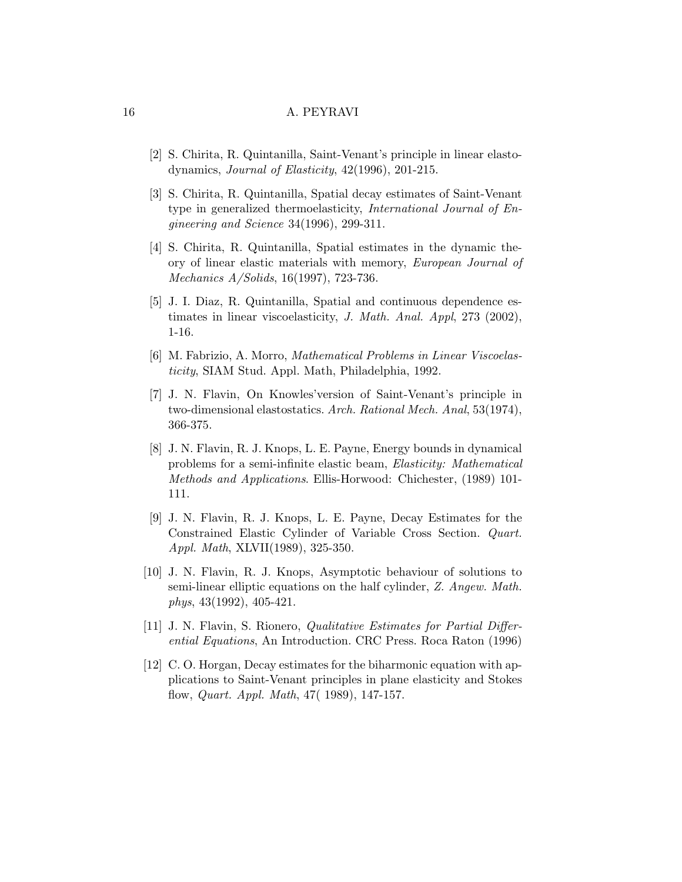- <span id="page-15-5"></span>[2] S. Chirita, R. Quintanilla, Saint-Venant's principle in linear elastodynamics, Journal of Elasticity, 42(1996), 201-215.
- [3] S. Chirita, R. Quintanilla, Spatial decay estimates of Saint-Venant type in generalized thermoelasticity, International Journal of Engineering and Science 34(1996), 299-311.
- <span id="page-15-6"></span>[4] S. Chirita, R. Quintanilla, Spatial estimates in the dynamic theory of linear elastic materials with memory, European Journal of Mechanics A/Solids, 16(1997), 723-736.
- <span id="page-15-7"></span>[5] J. I. Diaz, R. Quintanilla, Spatial and continuous dependence estimates in linear viscoelasticity, J. Math. Anal. Appl, 273 (2002), 1-16.
- <span id="page-15-8"></span>[6] M. Fabrizio, A. Morro, Mathematical Problems in Linear Viscoelasticity, SIAM Stud. Appl. Math, Philadelphia, 1992.
- <span id="page-15-0"></span>[7] J. N. Flavin, On Knowles'version of Saint-Venant's principle in two-dimensional elastostatics. Arch. Rational Mech. Anal, 53(1974), 366-375.
- <span id="page-15-4"></span>[8] J. N. Flavin, R. J. Knops, L. E. Payne, Energy bounds in dynamical problems for a semi-infinite elastic beam, Elasticity: Mathematical Methods and Applications. Ellis-Horwood: Chichester, (1989) 101- 111.
- <span id="page-15-1"></span>[9] J. N. Flavin, R. J. Knops, L. E. Payne, Decay Estimates for the Constrained Elastic Cylinder of Variable Cross Section. Quart. Appl. Math, XLVII(1989), 325-350.
- [10] J. N. Flavin, R. J. Knops, Asymptotic behaviour of solutions to semi-linear elliptic equations on the half cylinder, Z. Angew. Math. phys, 43(1992), 405-421.
- <span id="page-15-2"></span>[11] J. N. Flavin, S. Rionero, Qualitative Estimates for Partial Differential Equations, An Introduction. CRC Press. Roca Raton (1996)
- <span id="page-15-3"></span>[12] C. O. Horgan, Decay estimates for the biharmonic equation with applications to Saint-Venant principles in plane elasticity and Stokes flow, Quart. Appl. Math, 47( 1989), 147-157.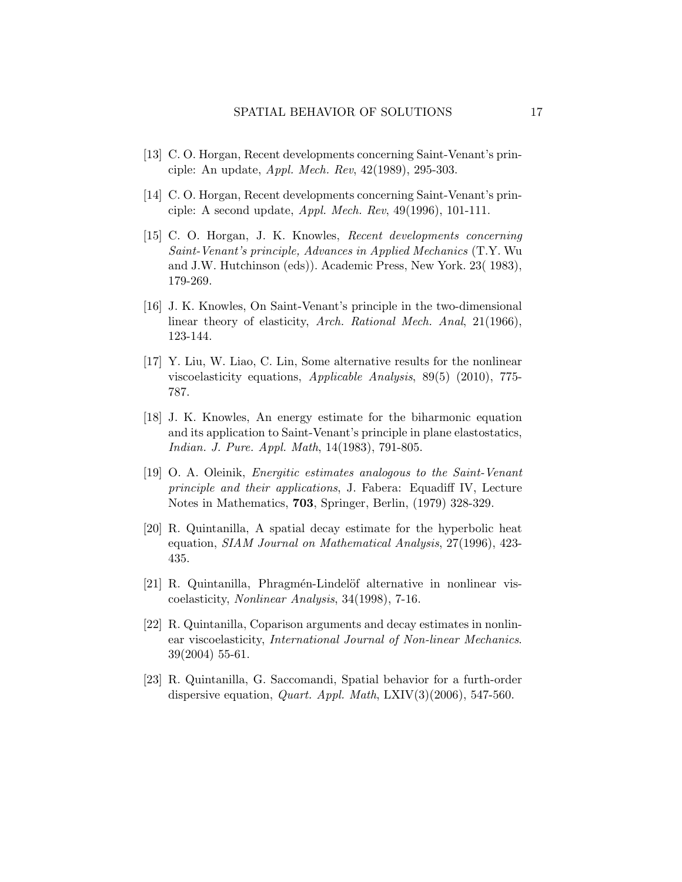- <span id="page-16-1"></span>[13] C. O. Horgan, Recent developments concerning Saint-Venant's principle: An update, Appl. Mech. Rev, 42(1989), 295-303.
- <span id="page-16-2"></span>[14] C. O. Horgan, Recent developments concerning Saint-Venant's principle: A second update, Appl. Mech. Rev, 49(1996), 101-111.
- <span id="page-16-0"></span>[15] C. O. Horgan, J. K. Knowles, Recent developments concerning Saint-Venant's principle, Advances in Applied Mechanics (T.Y. Wu and J.W. Hutchinson (eds)). Academic Press, New York. 23( 1983), 179-269.
- <span id="page-16-3"></span>[16] J. K. Knowles, On Saint-Venant's principle in the two-dimensional linear theory of elasticity, Arch. Rational Mech. Anal, 21(1966), 123-144.
- <span id="page-16-10"></span>[17] Y. Liu, W. Liao, C. Lin, Some alternative results for the nonlinear viscoelasticity equations, Applicable Analysis, 89(5) (2010), 775- 787.
- <span id="page-16-4"></span>[18] J. K. Knowles, An energy estimate for the biharmonic equation and its application to Saint-Venant's principle in plane elastostatics, Indian. J. Pure. Appl. Math, 14(1983), 791-805.
- <span id="page-16-5"></span>[19] O. A. Oleinik, Energitic estimates analogous to the Saint-Venant principle and their applications, J. Fabera: Equadiff IV, Lecture Notes in Mathematics, 703, Springer, Berlin, (1979) 328-329.
- <span id="page-16-6"></span>[20] R. Quintanilla, A spatial decay estimate for the hyperbolic heat equation, SIAM Journal on Mathematical Analysis, 27(1996), 423- 435.
- <span id="page-16-7"></span> $[21]$  R. Quintanilla, Phragmén-Lindelöf alternative in nonlinear viscoelasticity, Nonlinear Analysis, 34(1998), 7-16.
- <span id="page-16-8"></span>[22] R. Quintanilla, Coparison arguments and decay estimates in nonlinear viscoelasticity, International Journal of Non-linear Mechanics. 39(2004) 55-61.
- <span id="page-16-9"></span>[23] R. Quintanilla, G. Saccomandi, Spatial behavior for a furth-order dispersive equation, *Quart. Appl. Math*,  $LXY(3)(2006)$ , 547-560.